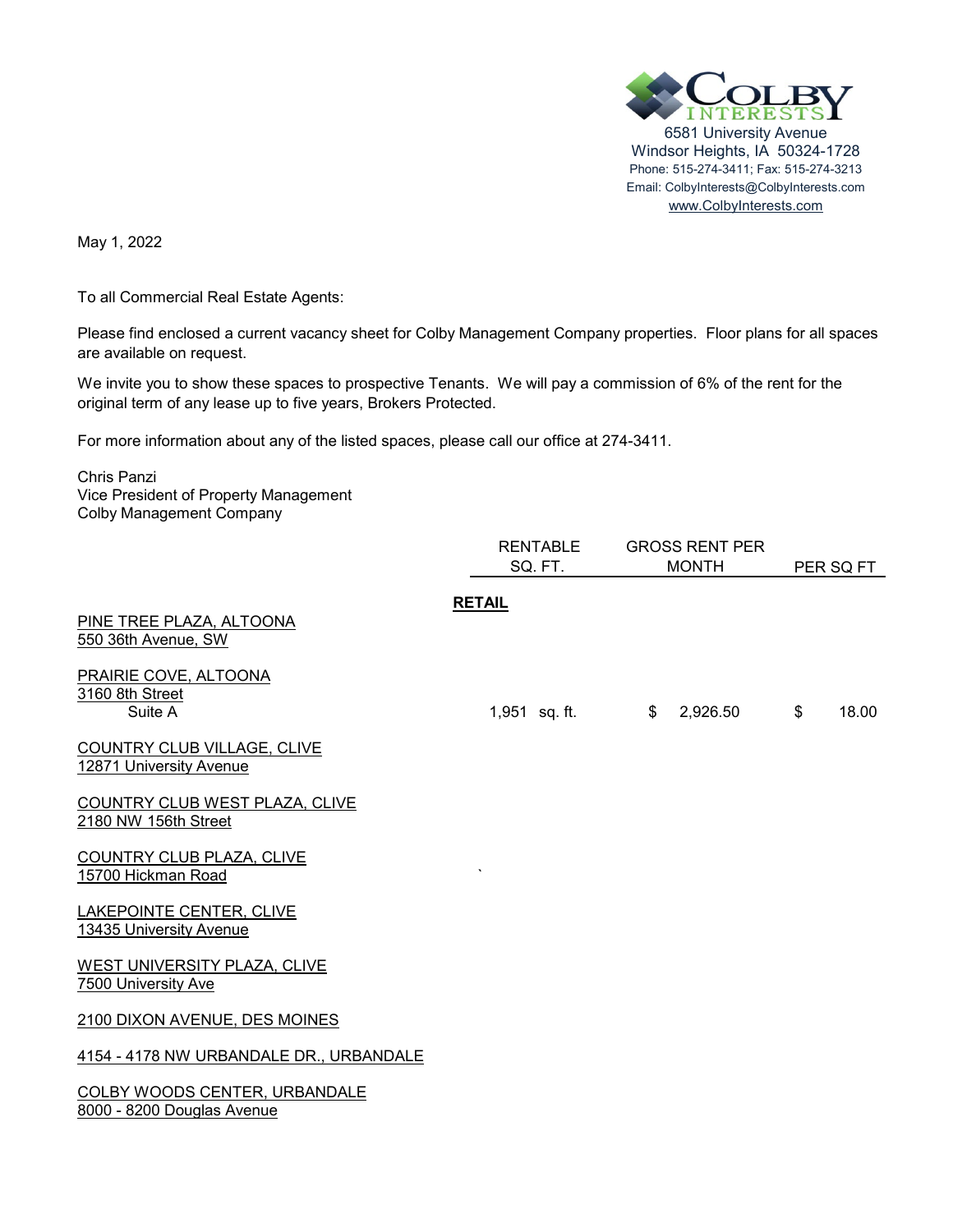

May 1, 2022

To all Commercial Real Estate Agents:

Please find enclosed a current vacancy sheet for Colby Management Company properties. Floor plans for all spaces are available on request.

We invite you to show these spaces to prospective Tenants. We will pay a commission of 6% of the rent for the original term of any lease up to five years, Brokers Protected.

For more information about any of the listed spaces, please call our office at 274-3411.

Chris Panzi Vice President of Property Management Colby Management Company

|                                                               | RENTABLE      | <b>GROSS RENT PER</b> |             |  |
|---------------------------------------------------------------|---------------|-----------------------|-------------|--|
|                                                               | SQ. FT.       | <b>MONTH</b>          | PER SQ FT   |  |
| PINE TREE PLAZA, ALTOONA<br>550 36th Avenue, SW               | <b>RETAIL</b> |                       |             |  |
| PRAIRIE COVE, ALTOONA<br>3160 8th Street<br>Suite A           | 1,951 sq. ft. | \$<br>2,926.50        | \$<br>18.00 |  |
| <b>COUNTRY CLUB VILLAGE, CLIVE</b><br>12871 University Avenue |               |                       |             |  |
| COUNTRY CLUB WEST PLAZA, CLIVE<br>2180 NW 156th Street        |               |                       |             |  |
| COUNTRY CLUB PLAZA, CLIVE<br>15700 Hickman Road               |               |                       |             |  |
| LAKEPOINTE CENTER, CLIVE<br>13435 University Avenue           |               |                       |             |  |
| WEST UNIVERSITY PLAZA, CLIVE<br>7500 University Ave           |               |                       |             |  |
| 2100 DIXON AVENUE, DES MOINES                                 |               |                       |             |  |
| 4154 - 4178 NW URBANDALE DR., URBANDALE                       |               |                       |             |  |
| COLBY WOODS CENTER, URBANDALE<br>8000 - 8200 Douglas Avenue   |               |                       |             |  |